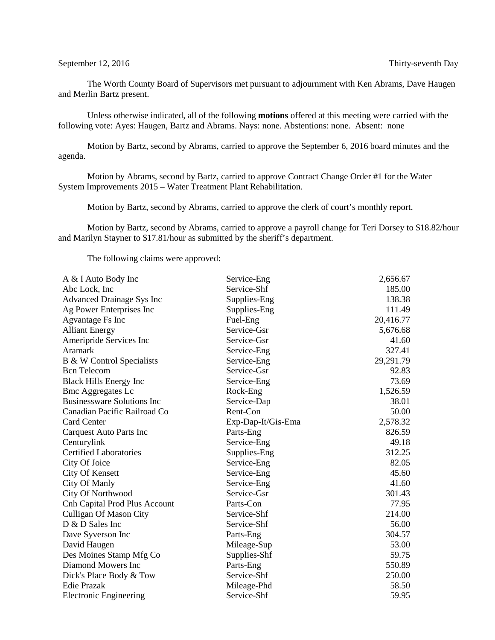The Worth County Board of Supervisors met pursuant to adjournment with Ken Abrams, Dave Haugen and Merlin Bartz present.

Unless otherwise indicated, all of the following **motions** offered at this meeting were carried with the following vote: Ayes: Haugen, Bartz and Abrams. Nays: none. Abstentions: none. Absent: none

Motion by Bartz, second by Abrams, carried to approve the September 6, 2016 board minutes and the agenda.

Motion by Abrams, second by Bartz, carried to approve Contract Change Order #1 for the Water System Improvements 2015 – Water Treatment Plant Rehabilitation.

Motion by Bartz, second by Abrams, carried to approve the clerk of court's monthly report.

Motion by Bartz, second by Abrams, carried to approve a payroll change for Teri Dorsey to \$18.82/hour and Marilyn Stayner to \$17.81/hour as submitted by the sheriff's department.

The following claims were approved:

| A & I Auto Body Inc               | Service-Eng        | 2,656.67  |
|-----------------------------------|--------------------|-----------|
| Abc Lock, Inc.                    | Service-Shf        | 185.00    |
| <b>Advanced Drainage Sys Inc</b>  | Supplies-Eng       | 138.38    |
| Ag Power Enterprises Inc          | Supplies-Eng       | 111.49    |
| Agvantage Fs Inc                  | Fuel-Eng           | 20,416.77 |
| <b>Alliant Energy</b>             | Service-Gsr        | 5,676.68  |
| Ameripride Services Inc           | Service-Gsr        | 41.60     |
| Aramark                           | Service-Eng        | 327.41    |
| B & W Control Specialists         | Service-Eng        | 29,291.79 |
| <b>Bcn</b> Telecom                | Service-Gsr        | 92.83     |
| <b>Black Hills Energy Inc</b>     | Service-Eng        | 73.69     |
| <b>Bmc Aggregates Lc</b>          | Rock-Eng           | 1,526.59  |
| <b>Businessware Solutions Inc</b> | Service-Dap        | 38.01     |
| Canadian Pacific Railroad Co      | Rent-Con           | 50.00     |
| Card Center                       | Exp-Dap-It/Gis-Ema | 2,578.32  |
| <b>Carquest Auto Parts Inc</b>    | Parts-Eng          | 826.59    |
| Centurylink                       | Service-Eng        | 49.18     |
| <b>Certified Laboratories</b>     | Supplies-Eng       | 312.25    |
| City Of Joice                     | Service-Eng        | 82.05     |
| <b>City Of Kensett</b>            | Service-Eng        | 45.60     |
| City Of Manly                     | Service-Eng        | 41.60     |
| City Of Northwood                 | Service-Gsr        | 301.43    |
| Cnh Capital Prod Plus Account     | Parts-Con          | 77.95     |
| Culligan Of Mason City            | Service-Shf        | 214.00    |
| D & D Sales Inc                   | Service-Shf        | 56.00     |
| Dave Syverson Inc                 | Parts-Eng          | 304.57    |
| David Haugen                      | Mileage-Sup        | 53.00     |
| Des Moines Stamp Mfg Co           | Supplies-Shf       | 59.75     |
| Diamond Mowers Inc                | Parts-Eng          | 550.89    |
| Dick's Place Body & Tow           | Service-Shf        | 250.00    |
| <b>Edie Prazak</b>                | Mileage-Phd        | 58.50     |
| <b>Electronic Engineering</b>     | Service-Shf        | 59.95     |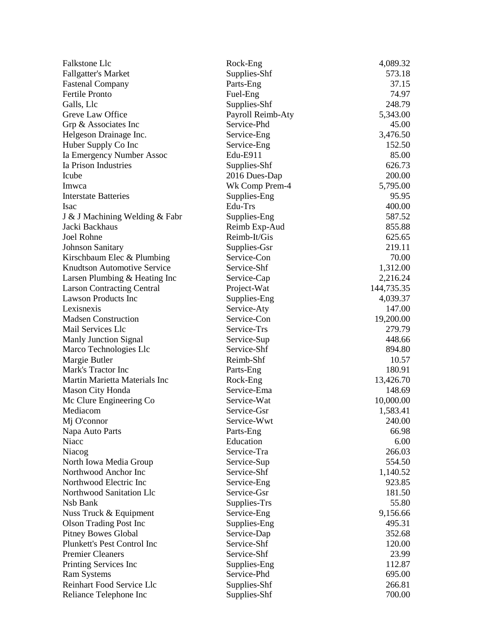| Falkstone Llc                      | Rock-Eng          | 4,089.32   |
|------------------------------------|-------------------|------------|
| <b>Fallgatter's Market</b>         | Supplies-Shf      | 573.18     |
| <b>Fastenal Company</b>            | Parts-Eng         | 37.15      |
| Fertile Pronto                     | Fuel-Eng          | 74.97      |
| Galls, Llc                         | Supplies-Shf      | 248.79     |
| Greve Law Office                   | Payroll Reimb-Aty | 5,343.00   |
| Grp & Associates Inc               | Service-Phd       | 45.00      |
| Helgeson Drainage Inc.             | Service-Eng       | 3,476.50   |
| Huber Supply Co Inc                | Service-Eng       | 152.50     |
| Ia Emergency Number Assoc          | Edu-E911          | 85.00      |
| Ia Prison Industries               | Supplies-Shf      | 626.73     |
| Icube                              | 2016 Dues-Dap     | 200.00     |
| Imwca                              | Wk Comp Prem-4    | 5,795.00   |
| <b>Interstate Batteries</b>        | Supplies-Eng      | 95.95      |
| <b>Isac</b>                        | Edu-Trs           | 400.00     |
| J & J Machining Welding & Fabr     | Supplies-Eng      | 587.52     |
| Jacki Backhaus                     | Reimb Exp-Aud     | 855.88     |
| <b>Joel Rohne</b>                  | Reimb-It/Gis      | 625.65     |
| <b>Johnson Sanitary</b>            | Supplies-Gsr      | 219.11     |
| Kirschbaum Elec & Plumbing         | Service-Con       | 70.00      |
| <b>Knudtson Automotive Service</b> | Service-Shf       | 1,312.00   |
| Larsen Plumbing & Heating Inc      | Service-Cap       | 2,216.24   |
| <b>Larson Contracting Central</b>  | Project-Wat       | 144,735.35 |
| <b>Lawson Products Inc</b>         | Supplies-Eng      | 4,039.37   |
| Lexisnexis                         | Service-Aty       | 147.00     |
| <b>Madsen Construction</b>         | Service-Con       | 19,200.00  |
| Mail Services Llc                  | Service-Trs       | 279.79     |
| Manly Junction Signal              | Service-Sup       | 448.66     |
| Marco Technologies Llc             | Service-Shf       | 894.80     |
| Margie Butler                      | Reimb-Shf         | 10.57      |
| Mark's Tractor Inc                 | Parts-Eng         | 180.91     |
| Martin Marietta Materials Inc      | Rock-Eng          | 13,426.70  |
| Mason City Honda                   | Service-Ema       | 148.69     |
| Mc Clure Engineering Co            | Service-Wat       | 10,000.00  |
| Mediacom                           | Service-Gsr       | 1,583.41   |
| Mj O'connor                        | Service-Wwt       | 240.00     |
| Napa Auto Parts                    | Parts-Eng         | 66.98      |
| Niacc                              | Education         | 6.00       |
| Niacog                             | Service-Tra       | 266.03     |
| North Iowa Media Group             | Service-Sup       | 554.50     |
| Northwood Anchor Inc               | Service-Shf       | 1,140.52   |
| Northwood Electric Inc             | Service-Eng       | 923.85     |
| Northwood Sanitation Llc           | Service-Gsr       | 181.50     |
| Nsb Bank                           | Supplies-Trs      | 55.80      |
| Nuss Truck & Equipment             | Service-Eng       | 9,156.66   |
| <b>Olson Trading Post Inc</b>      | Supplies-Eng      | 495.31     |
| <b>Pitney Bowes Global</b>         | Service-Dap       | 352.68     |
| Plunkett's Pest Control Inc        | Service-Shf       | 120.00     |
| <b>Premier Cleaners</b>            | Service-Shf       | 23.99      |
| Printing Services Inc              | Supplies-Eng      | 112.87     |
| <b>Ram Systems</b>                 | Service-Phd       | 695.00     |
| Reinhart Food Service Llc          | Supplies-Shf      | 266.81     |
| Reliance Telephone Inc             | Supplies-Shf      | 700.00     |
|                                    |                   |            |